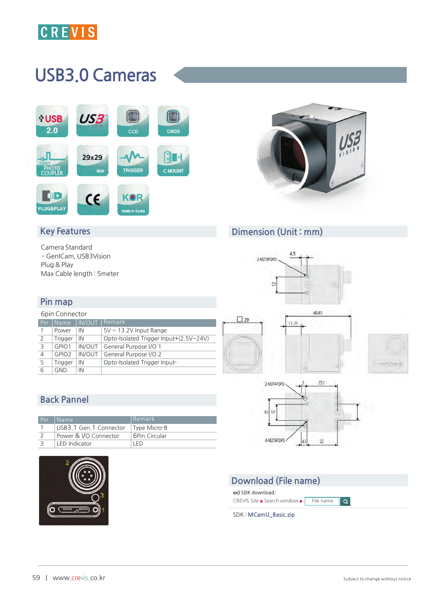

# USB3.0 Cameras





### Dimension (Unit : mm)

 $\square$  29

## Key Features

**Camera Standard - GenICam, USB3Vision Plug & Play Max Cable length : 5meter**

#### Pin map

#### **6pin Connector Pin Name IN/OUT Remark 1 Power IN 5V ~ 13.2V Input Range 2 Trigger IN Opto-Isolated Trigger Input+(2.5V~24V) 3 GPIO1 IN/OUT General Purpose I/O 1 4 GPIO2 IN/OUT General Purpose I/O 2 5 Trigger IN Opto-Isolated Trigger Input-6 GND IN**



# I Ó



# Back Pannel

| Pin | Name                   | l Remark.     |
|-----|------------------------|---------------|
|     | USB3.1 Gen.1 Connector | Type Micro-B  |
|     | Power & I/O Connector  | 6Pin Circular |
|     | LED Indicator          | I FD.         |





**ex) SDK download**: **CREVIS Site > Search window > File name** 

**SDK :** MCamU\_Basic.zip



 $\overline{\phantom{a}}$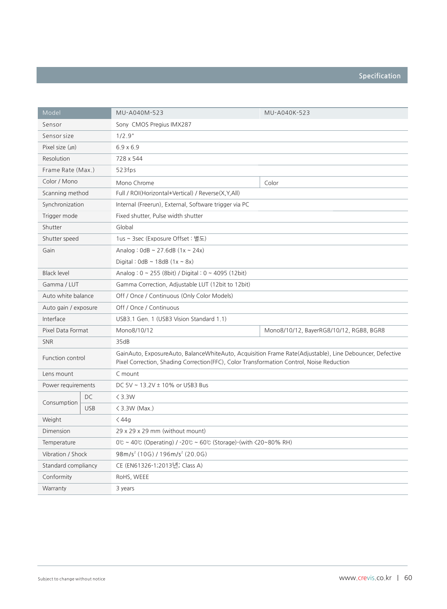| Model                |            | MU-A040M-523                                                                                                                                                                                         | MU-A040K-523                            |  |
|----------------------|------------|------------------------------------------------------------------------------------------------------------------------------------------------------------------------------------------------------|-----------------------------------------|--|
| Sensor               |            | Sony CMOS Pregius IMX287                                                                                                                                                                             |                                         |  |
| Sensor size          |            | 1/2.9"                                                                                                                                                                                               |                                         |  |
| Pixel size $(\mu m)$ |            | $6.9 \times 6.9$                                                                                                                                                                                     |                                         |  |
| Resolution           |            | 728 x 544                                                                                                                                                                                            |                                         |  |
| Frame Rate (Max.)    |            | 523fps                                                                                                                                                                                               |                                         |  |
| Color / Mono         |            | Mono Chrome                                                                                                                                                                                          | Color                                   |  |
| Scanning method      |            | Full / ROI(Horizontal+Vertical) / Reverse(X,Y,All)                                                                                                                                                   |                                         |  |
| Synchronization      |            | Internal (Freerun), External, Software trigger via PC                                                                                                                                                |                                         |  |
| Trigger mode         |            | Fixed shutter, Pulse width shutter                                                                                                                                                                   |                                         |  |
| Shutter              |            | Global                                                                                                                                                                                               |                                         |  |
| Shutter speed        |            | 1us ~ 3sec (Exposure Offset : 별도)                                                                                                                                                                    |                                         |  |
| Gain                 |            | Analog: $0dB \sim 27.6dB (1x \sim 24x)$                                                                                                                                                              |                                         |  |
|                      |            | Digital: $0dB \sim 18dB (1x - 8x)$                                                                                                                                                                   |                                         |  |
| <b>Black level</b>   |            | Analog: $0 \sim 255$ (8bit) / Digital: $0 \sim 4095$ (12bit)                                                                                                                                         |                                         |  |
| Gamma / LUT          |            | Gamma Correction, Adjustable LUT (12bit to 12bit)                                                                                                                                                    |                                         |  |
| Auto white balance   |            | Off / Once / Continuous (Only Color Models)                                                                                                                                                          |                                         |  |
| Auto gain / exposure |            | Off / Once / Continuous                                                                                                                                                                              |                                         |  |
| Interface            |            | USB3.1 Gen. 1 (USB3 Vision Standard 1.1)                                                                                                                                                             |                                         |  |
| Pixel Data Format    |            | Mono8/10/12                                                                                                                                                                                          | Mono8/10/12, BayerRG8/10/12, RGB8, BGR8 |  |
| <b>SNR</b>           |            | 35dB                                                                                                                                                                                                 |                                         |  |
| Function control     |            | GainAuto, ExposureAuto, BalanceWhiteAuto, Acquisition Frame Rate(Adjustable), Line Debouncer, Defective<br>Pixel Correction, Shading Correction (FFC), Color Transformation Control, Noise Reduction |                                         |  |
| Lens mount           |            | C mount                                                                                                                                                                                              |                                         |  |
| Power requirements   |            | DC 5V ~ 13.2V ± 10% or USB3 Bus                                                                                                                                                                      |                                         |  |
|                      | DC         | $<$ 3.3W                                                                                                                                                                                             |                                         |  |
| Consumption          | <b>USB</b> | $\langle$ 3.3W (Max.)                                                                                                                                                                                |                                         |  |
| Weight               |            | $<$ 44g                                                                                                                                                                                              |                                         |  |
| Dimension            |            | 29 x 29 x 29 mm (without mount)                                                                                                                                                                      |                                         |  |
| Temperature          |            | $0^{\circ}$ ~ 40° (Operating) / -20° $\sim$ 60° (Storage)-(with $\langle$ 20~80% RH)                                                                                                                 |                                         |  |
| Vibration / Shock    |            | $98m/s2$ (10G) / 196m/s <sup>2</sup> (20.0G)                                                                                                                                                         |                                         |  |
| Standard compliancy  |            | CE (EN61326-1;2013년; Class A)                                                                                                                                                                        |                                         |  |
| Conformity           |            | RoHS, WEEE                                                                                                                                                                                           |                                         |  |
| Warranty             |            | 3 years                                                                                                                                                                                              |                                         |  |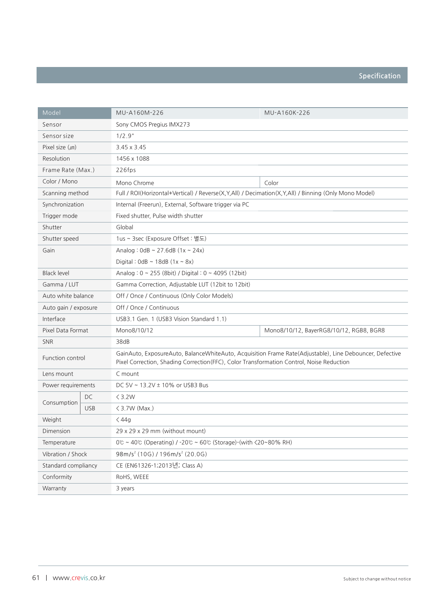| Model                |            | MU-A160M-226                                                                                                                                                                                         | MU-A160K-226                            |  |
|----------------------|------------|------------------------------------------------------------------------------------------------------------------------------------------------------------------------------------------------------|-----------------------------------------|--|
| Sensor               |            | Sony CMOS Pregius IMX273                                                                                                                                                                             |                                         |  |
| Sensor size          |            | 1/2.9"                                                                                                                                                                                               |                                         |  |
| Pixel size $(\mu m)$ |            | $3.45 \times 3.45$                                                                                                                                                                                   |                                         |  |
| Resolution           |            | 1456 x 1088                                                                                                                                                                                          |                                         |  |
| Frame Rate (Max.)    |            | 226fps                                                                                                                                                                                               |                                         |  |
| Color / Mono         |            | Mono Chrome                                                                                                                                                                                          | Color                                   |  |
| Scanning method      |            | Full / ROI(Horizontal+Vertical) / Reverse(X,Y,All) / Decimation(X,Y,All) / Binning (Only Mono Model)                                                                                                 |                                         |  |
| Synchronization      |            | Internal (Freerun), External, Software trigger via PC                                                                                                                                                |                                         |  |
| Trigger mode         |            | Fixed shutter, Pulse width shutter                                                                                                                                                                   |                                         |  |
| Shutter              |            | Global                                                                                                                                                                                               |                                         |  |
| Shutter speed        |            | 1us ~ 3sec (Exposure Offset : 별도)                                                                                                                                                                    |                                         |  |
| Gain                 |            | Analog: $0 dB \sim 27.6 dB (1x \sim 24x)$                                                                                                                                                            |                                         |  |
|                      |            | Digital: $0dB \sim 18dB$ (1x ~ 8x)                                                                                                                                                                   |                                         |  |
| <b>Black level</b>   |            | Analog: 0 ~ 255 (8bit) / Digital: 0 ~ 4095 (12bit)                                                                                                                                                   |                                         |  |
| Gamma / LUT          |            | Gamma Correction, Adjustable LUT (12bit to 12bit)                                                                                                                                                    |                                         |  |
| Auto white balance   |            | Off / Once / Continuous (Only Color Models)                                                                                                                                                          |                                         |  |
| Auto gain / exposure |            | Off / Once / Continuous                                                                                                                                                                              |                                         |  |
| Interface            |            | USB3.1 Gen. 1 (USB3 Vision Standard 1.1)                                                                                                                                                             |                                         |  |
| Pixel Data Format    |            | Mono8/10/12                                                                                                                                                                                          | Mono8/10/12, BayerRG8/10/12, RGB8, BGR8 |  |
| <b>SNR</b>           |            | 38dB                                                                                                                                                                                                 |                                         |  |
| Function control     |            | GainAuto, ExposureAuto, BalanceWhiteAuto, Acquisition Frame Rate(Adjustable), Line Debouncer, Defective<br>Pixel Correction, Shading Correction (FFC), Color Transformation Control, Noise Reduction |                                         |  |
| Lens mount           |            | C mount                                                                                                                                                                                              |                                         |  |
| Power requirements   |            | DC 5V ~ 13.2V ± 10% or USB3 Bus                                                                                                                                                                      |                                         |  |
|                      | DC         | $<$ 3.2W                                                                                                                                                                                             |                                         |  |
| Consumption          | <b>USB</b> | $\langle$ 3.7W (Max.)                                                                                                                                                                                |                                         |  |
| Weight               |            | $<$ 44g                                                                                                                                                                                              |                                         |  |
| Dimension            |            | 29 x 29 x 29 mm (without mount)                                                                                                                                                                      |                                         |  |
| Temperature          |            | $0^\circ$ ~ 40 $^\circ$ (Operating) / -20 $^\circ$ ~ 60 $^\circ$ (Storage)-(with $\langle 20 \sim 80\%$ RH)                                                                                          |                                         |  |
| Vibration / Shock    |            | $98m/s2$ (10G) / 196m/s <sup>2</sup> (20.0G)                                                                                                                                                         |                                         |  |
| Standard compliancy  |            | CE (EN61326-1;2013년; Class A)                                                                                                                                                                        |                                         |  |
| Conformity           |            | RoHS, WEEE                                                                                                                                                                                           |                                         |  |
| Warranty             |            | 3 years                                                                                                                                                                                              |                                         |  |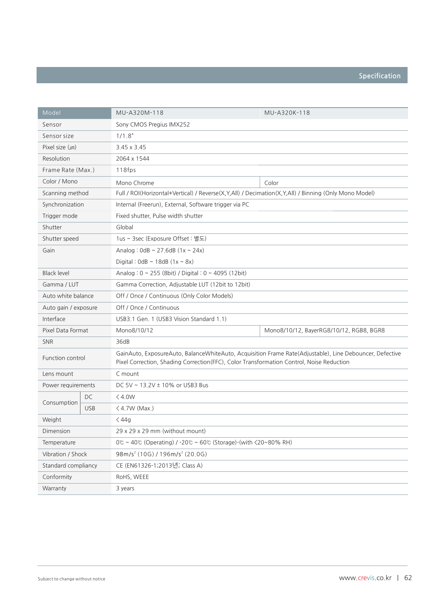| Model                |            | MU-A320M-118                                                                                                                                                                                         | MU-A320K-118                            |  |
|----------------------|------------|------------------------------------------------------------------------------------------------------------------------------------------------------------------------------------------------------|-----------------------------------------|--|
| Sensor               |            | Sony CMOS Pregius IMX252                                                                                                                                                                             |                                         |  |
| Sensor size          |            | 1/1.8"                                                                                                                                                                                               |                                         |  |
| Pixel size $(\mu m)$ |            | $3.45 \times 3.45$                                                                                                                                                                                   |                                         |  |
| Resolution           |            | 2064 x 1544                                                                                                                                                                                          |                                         |  |
| Frame Rate (Max.)    |            | 118fps                                                                                                                                                                                               |                                         |  |
| Color / Mono         |            | Mono Chrome                                                                                                                                                                                          | Color                                   |  |
| Scanning method      |            | Full / ROI(Horizontal+Vertical) / Reverse(X,Y,All) / Decimation(X,Y,All) / Binning (Only Mono Model)                                                                                                 |                                         |  |
| Synchronization      |            | Internal (Freerun), External, Software trigger via PC                                                                                                                                                |                                         |  |
| Trigger mode         |            | Fixed shutter, Pulse width shutter                                                                                                                                                                   |                                         |  |
| Shutter              |            | Global                                                                                                                                                                                               |                                         |  |
| Shutter speed        |            | 1us ~ 3sec (Exposure Offset : 별도)                                                                                                                                                                    |                                         |  |
| Gain                 |            | Analog: $0 dB \sim 27.6 dB (1x \sim 24x)$                                                                                                                                                            |                                         |  |
|                      |            | Digital: $0dB \sim 18dB (1x - 8x)$                                                                                                                                                                   |                                         |  |
| <b>Black level</b>   |            | Analog: 0 ~ 255 (8bit) / Digital: 0 ~ 4095 (12bit)                                                                                                                                                   |                                         |  |
| Gamma / LUT          |            | Gamma Correction, Adjustable LUT (12bit to 12bit)                                                                                                                                                    |                                         |  |
| Auto white balance   |            | Off / Once / Continuous (Only Color Models)                                                                                                                                                          |                                         |  |
| Auto gain / exposure |            | Off / Once / Continuous                                                                                                                                                                              |                                         |  |
| Interface            |            | USB3.1 Gen. 1 (USB3 Vision Standard 1.1)                                                                                                                                                             |                                         |  |
| Pixel Data Format    |            | Mono8/10/12                                                                                                                                                                                          | Mono8/10/12, BayerRG8/10/12, RGB8, BGR8 |  |
| <b>SNR</b>           |            | 36dB                                                                                                                                                                                                 |                                         |  |
| Function control     |            | GainAuto, ExposureAuto, BalanceWhiteAuto, Acquisition Frame Rate(Adjustable), Line Debouncer, Defective<br>Pixel Correction, Shading Correction (FFC), Color Transformation Control, Noise Reduction |                                         |  |
| Lens mount           |            | C mount                                                                                                                                                                                              |                                         |  |
| Power requirements   |            | DC 5V ~ 13,2V ± 10% or USB3 Bus                                                                                                                                                                      |                                         |  |
|                      | DC         | < 4.0W                                                                                                                                                                                               |                                         |  |
| Consumption          | <b>USB</b> | $\langle$ 4.7W (Max.)                                                                                                                                                                                |                                         |  |
| Weight               |            | $<$ 44g                                                                                                                                                                                              |                                         |  |
| Dimension            |            | 29 x 29 x 29 mm (without mount)                                                                                                                                                                      |                                         |  |
| Temperature          |            | 0 $\degree$ ~ 40 $\degree$ (Operating) / -20 $\degree$ ~ 60 $\degree$ (Storage)-(with $\degree$ 20~80% RH)                                                                                           |                                         |  |
| Vibration / Shock    |            | $98m/s2$ (10G) / 196m/s <sup>2</sup> (20.0G)                                                                                                                                                         |                                         |  |
| Standard compliancy  |            | CE (EN61326-1;2013년; Class A)                                                                                                                                                                        |                                         |  |
| Conformity           |            | RoHS, WEEE                                                                                                                                                                                           |                                         |  |
| Warranty             |            | 3 years                                                                                                                                                                                              |                                         |  |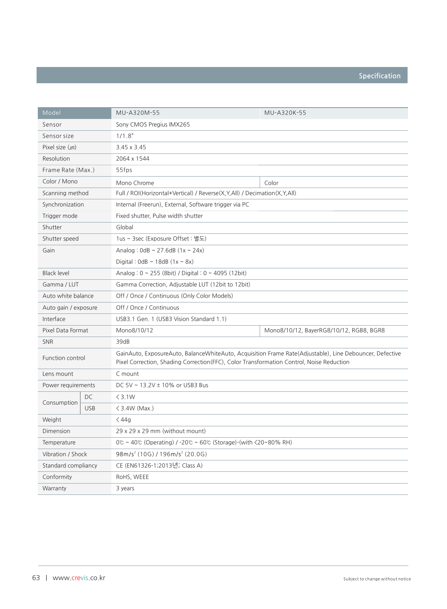| Model                |            | MU-A320M-55                                                                                                                                                                                          | MU-A320K-55                             |  |
|----------------------|------------|------------------------------------------------------------------------------------------------------------------------------------------------------------------------------------------------------|-----------------------------------------|--|
| Sensor               |            | Sony CMOS Pregius IMX265                                                                                                                                                                             |                                         |  |
| Sensor size          |            | 1/1.8"                                                                                                                                                                                               |                                         |  |
| Pixel size $(\mu m)$ |            | $3.45 \times 3.45$                                                                                                                                                                                   |                                         |  |
| Resolution           |            | 2064 x 1544                                                                                                                                                                                          |                                         |  |
| Frame Rate (Max.)    |            | 55fps                                                                                                                                                                                                |                                         |  |
| Color / Mono         |            | Mono Chrome                                                                                                                                                                                          | Color                                   |  |
| Scanning method      |            | Full / ROI(Horizontal+Vertical) / Reverse(X,Y,All) / Decimation(X,Y,All)                                                                                                                             |                                         |  |
| Synchronization      |            | Internal (Freerun), External, Software trigger via PC                                                                                                                                                |                                         |  |
| Trigger mode         |            | Fixed shutter, Pulse width shutter                                                                                                                                                                   |                                         |  |
| Shutter              |            | Global                                                                                                                                                                                               |                                         |  |
| Shutter speed        |            | 1us ~ 3sec (Exposure Offset : 별도)                                                                                                                                                                    |                                         |  |
| Gain                 |            | Analog: $0 dB \sim 27.6 dB (1x \sim 24x)$                                                                                                                                                            |                                         |  |
|                      |            | Digital: $0dB \sim 18dB (1x \sim 8x)$                                                                                                                                                                |                                         |  |
| <b>Black level</b>   |            | Analog: $0 \sim 255$ (8bit) / Digital: $0 \sim 4095$ (12bit)                                                                                                                                         |                                         |  |
| Gamma / LUT          |            | Gamma Correction, Adjustable LUT (12bit to 12bit)                                                                                                                                                    |                                         |  |
| Auto white balance   |            | Off / Once / Continuous (Only Color Models)                                                                                                                                                          |                                         |  |
| Auto gain / exposure |            | Off / Once / Continuous                                                                                                                                                                              |                                         |  |
| Interface            |            | USB3.1 Gen. 1 (USB3 Vision Standard 1.1)                                                                                                                                                             |                                         |  |
| Pixel Data Format    |            | Mono8/10/12                                                                                                                                                                                          | Mono8/10/12, BayerRG8/10/12, RGB8, BGR8 |  |
| <b>SNR</b>           |            | 39dB                                                                                                                                                                                                 |                                         |  |
| Function control     |            | GainAuto, ExposureAuto, BalanceWhiteAuto, Acquisition Frame Rate(Adjustable), Line Debouncer, Defective<br>Pixel Correction, Shading Correction (FFC), Color Transformation Control, Noise Reduction |                                         |  |
| Lens mount           |            | C mount                                                                                                                                                                                              |                                         |  |
| Power requirements   |            | DC 5V ~ 13.2V ± 10% or USB3 Bus                                                                                                                                                                      |                                         |  |
|                      | DC         | $<$ 3.1W                                                                                                                                                                                             |                                         |  |
| Consumption          | <b>USB</b> | $\langle$ 3.4W (Max.)                                                                                                                                                                                |                                         |  |
| Weight               |            | $\langle 44g$                                                                                                                                                                                        |                                         |  |
| Dimension            |            | 29 x 29 x 29 mm (without mount)                                                                                                                                                                      |                                         |  |
| Temperature          |            | $0^\circ$ ~ 40 $^\circ$ (Operating) / -20 $^\circ$ ~ 60 $^\circ$ (Storage)-(with $\langle 20 \sim 80\%$ RH)                                                                                          |                                         |  |
| Vibration / Shock    |            | $98m/s2$ (10G) / 196m/s <sup>2</sup> (20.0G)                                                                                                                                                         |                                         |  |
| Standard compliancy  |            | CE (EN61326-1;2013년; Class A)                                                                                                                                                                        |                                         |  |
| Conformity           |            | RoHS, WEEE                                                                                                                                                                                           |                                         |  |
| Warranty             |            | 3 years                                                                                                                                                                                              |                                         |  |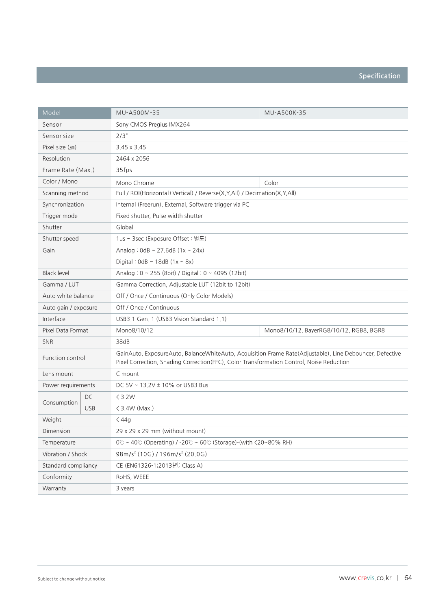| Model                |            | MU-A500M-35                                                                                                                                                                                          | MU-A500K-35                             |  |
|----------------------|------------|------------------------------------------------------------------------------------------------------------------------------------------------------------------------------------------------------|-----------------------------------------|--|
| Sensor               |            | Sony CMOS Pregius IMX264                                                                                                                                                                             |                                         |  |
| Sensor size          |            | 2/3"                                                                                                                                                                                                 |                                         |  |
| Pixel size $(\mu m)$ |            | 3.45 x 3.45                                                                                                                                                                                          |                                         |  |
| Resolution           |            | 2464 x 2056                                                                                                                                                                                          |                                         |  |
| Frame Rate (Max.)    |            | 35fps                                                                                                                                                                                                |                                         |  |
| Color / Mono         |            | Mono Chrome                                                                                                                                                                                          | Color                                   |  |
| Scanning method      |            | Full / ROI(Horizontal+Vertical) / Reverse(X,Y,All) / Decimation(X,Y,All)                                                                                                                             |                                         |  |
| Synchronization      |            | Internal (Freerun), External, Software trigger via PC                                                                                                                                                |                                         |  |
| Trigger mode         |            | Fixed shutter, Pulse width shutter                                                                                                                                                                   |                                         |  |
| Shutter              |            | Global                                                                                                                                                                                               |                                         |  |
| Shutter speed        |            | 1us ~ 3sec (Exposure Offset : 별도)                                                                                                                                                                    |                                         |  |
| Gain                 |            | Analog: $0dB \sim 27.6dB (1x \sim 24x)$                                                                                                                                                              |                                         |  |
|                      |            | Digital: $0dB \sim 18dB (1x - 8x)$                                                                                                                                                                   |                                         |  |
| <b>Black level</b>   |            | Analog: $0 \sim 255$ (8bit) / Digital: $0 \sim 4095$ (12bit)                                                                                                                                         |                                         |  |
| Gamma / LUT          |            | Gamma Correction, Adjustable LUT (12bit to 12bit)                                                                                                                                                    |                                         |  |
| Auto white balance   |            | Off / Once / Continuous (Only Color Models)                                                                                                                                                          |                                         |  |
| Auto gain / exposure |            | Off / Once / Continuous                                                                                                                                                                              |                                         |  |
| Interface            |            | USB3.1 Gen. 1 (USB3 Vision Standard 1.1)                                                                                                                                                             |                                         |  |
| Pixel Data Format    |            | Mono8/10/12                                                                                                                                                                                          | Mono8/10/12, BayerRG8/10/12, RGB8, BGR8 |  |
| <b>SNR</b>           |            | 38dB                                                                                                                                                                                                 |                                         |  |
| Function control     |            | GainAuto, ExposureAuto, BalanceWhiteAuto, Acquisition Frame Rate(Adjustable), Line Debouncer, Defective<br>Pixel Correction, Shading Correction (FFC), Color Transformation Control, Noise Reduction |                                         |  |
| Lens mount           |            | C mount                                                                                                                                                                                              |                                         |  |
| Power requirements   |            | DC 5V ~ 13.2V ± 10% or USB3 Bus                                                                                                                                                                      |                                         |  |
|                      | DC         | $<$ 3.2W                                                                                                                                                                                             |                                         |  |
| Consumption          | <b>USB</b> | $\langle$ 3.4W (Max.)                                                                                                                                                                                |                                         |  |
| Weight               |            | $<$ 44g                                                                                                                                                                                              |                                         |  |
| Dimension            |            | 29 x 29 x 29 mm (without mount)                                                                                                                                                                      |                                         |  |
| Temperature          |            | 0 $\degree$ ~ 40 $\degree$ (Operating) / -20 $\degree$ ~ 60 $\degree$ (Storage)-(with $\degree$ 20~80% RH)                                                                                           |                                         |  |
| Vibration / Shock    |            | $98m/s2$ (10G) / 196m/s <sup>2</sup> (20.0G)                                                                                                                                                         |                                         |  |
| Standard compliancy  |            | CE (EN61326-1;2013년; Class A)                                                                                                                                                                        |                                         |  |
| Conformity           |            | RoHS, WEEE                                                                                                                                                                                           |                                         |  |
| Warranty             |            | 3 years                                                                                                                                                                                              |                                         |  |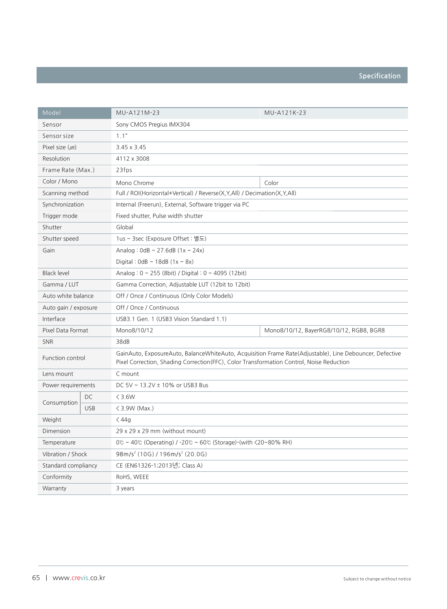| Model                |            | MU-A121M-23                                                                                                                                                                                          | MU-A121K-23                             |  |
|----------------------|------------|------------------------------------------------------------------------------------------------------------------------------------------------------------------------------------------------------|-----------------------------------------|--|
| Sensor               |            | Sony CMOS Pregius IMX304                                                                                                                                                                             |                                         |  |
| Sensor size          |            | 1.1"                                                                                                                                                                                                 |                                         |  |
| Pixel size $(\mu m)$ |            | 3.45 x 3.45                                                                                                                                                                                          |                                         |  |
| Resolution           |            | 4112 x 3008                                                                                                                                                                                          |                                         |  |
| Frame Rate (Max.)    |            | 23fps                                                                                                                                                                                                |                                         |  |
| Color / Mono         |            | Mono Chrome                                                                                                                                                                                          | Color                                   |  |
| Scanning method      |            | Full / ROI(Horizontal+Vertical) / Reverse(X,Y,All) / Decimation(X,Y,All)                                                                                                                             |                                         |  |
| Synchronization      |            | Internal (Freerun), External, Software trigger via PC                                                                                                                                                |                                         |  |
| Trigger mode         |            | Fixed shutter, Pulse width shutter                                                                                                                                                                   |                                         |  |
| Shutter              |            | Global                                                                                                                                                                                               |                                         |  |
| Shutter speed        |            | 1us ~ 3sec (Exposure Offset : 별도)                                                                                                                                                                    |                                         |  |
| Gain                 |            | Analog: $0 dB \sim 27.6 dB (1x \sim 24x)$                                                                                                                                                            |                                         |  |
|                      |            | Digital: $0dB \sim 18dB (1x \sim 8x)$                                                                                                                                                                |                                         |  |
| <b>Black level</b>   |            | Analog: $0 \sim 255$ (8bit) / Digital: $0 \sim 4095$ (12bit)                                                                                                                                         |                                         |  |
| Gamma / LUT          |            | Gamma Correction, Adjustable LUT (12bit to 12bit)                                                                                                                                                    |                                         |  |
| Auto white balance   |            | Off / Once / Continuous (Only Color Models)                                                                                                                                                          |                                         |  |
| Auto gain / exposure |            | Off / Once / Continuous                                                                                                                                                                              |                                         |  |
| Interface            |            | USB3.1 Gen. 1 (USB3 Vision Standard 1.1)                                                                                                                                                             |                                         |  |
| Pixel Data Format    |            | Mono8/10/12                                                                                                                                                                                          | Mono8/10/12, BayerRG8/10/12, RGB8, BGR8 |  |
| <b>SNR</b>           |            | 38dB                                                                                                                                                                                                 |                                         |  |
| Function control     |            | GainAuto, ExposureAuto, BalanceWhiteAuto, Acquisition Frame Rate(Adjustable), Line Debouncer, Defective<br>Pixel Correction, Shading Correction (FFC), Color Transformation Control, Noise Reduction |                                         |  |
| Lens mount           |            | C mount                                                                                                                                                                                              |                                         |  |
| Power requirements   |            | DC 5V ~ 13.2V ± 10% or USB3 Bus                                                                                                                                                                      |                                         |  |
|                      | DC         | $\leq$ 3.6W                                                                                                                                                                                          |                                         |  |
| Consumption          | <b>USB</b> | $\langle$ 3.9W (Max.)                                                                                                                                                                                |                                         |  |
| Weight               |            | $\langle 44g$                                                                                                                                                                                        |                                         |  |
| Dimension            |            | 29 x 29 x 29 mm (without mount)                                                                                                                                                                      |                                         |  |
| Temperature          |            | $0^\circ$ ~ 40 $^\circ$ (Operating) / -20 $^\circ$ ~ 60 $^\circ$ (Storage)-(with $\langle 20 \sim 80\%$ RH)                                                                                          |                                         |  |
| Vibration / Shock    |            | $98m/s2$ (10G) / 196m/s <sup>2</sup> (20.0G)                                                                                                                                                         |                                         |  |
| Standard compliancy  |            | CE (EN61326-1;2013년; Class A)                                                                                                                                                                        |                                         |  |
| Conformity           |            | RoHS, WEEE                                                                                                                                                                                           |                                         |  |
| Warranty             |            | 3 years                                                                                                                                                                                              |                                         |  |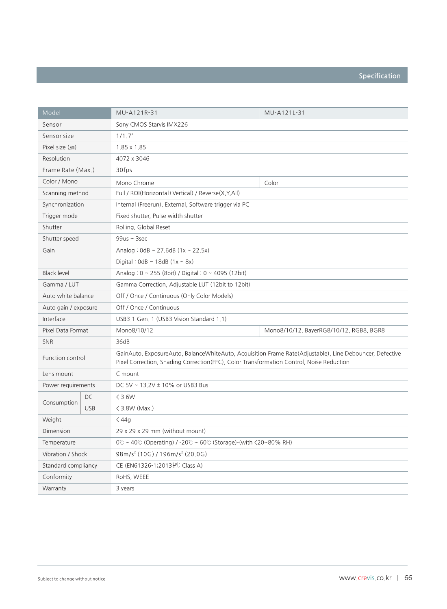| Model                |            | MU-A121R-31                                                                                                                                                                                          | MU-A121L-31                             |  |
|----------------------|------------|------------------------------------------------------------------------------------------------------------------------------------------------------------------------------------------------------|-----------------------------------------|--|
| Sensor               |            | Sony CMOS Starvis IMX226                                                                                                                                                                             |                                         |  |
| Sensor size          |            | 1/1.7"                                                                                                                                                                                               |                                         |  |
| Pixel size $(\mu m)$ |            | 1,85 x 1,85                                                                                                                                                                                          |                                         |  |
| Resolution           |            | 4072 x 3046                                                                                                                                                                                          |                                         |  |
| Frame Rate (Max.)    |            | 30fps                                                                                                                                                                                                |                                         |  |
| Color / Mono         |            | Mono Chrome                                                                                                                                                                                          | Color                                   |  |
| Scanning method      |            | Full / ROI(Horizontal+Vertical) / Reverse(X,Y,All)                                                                                                                                                   |                                         |  |
| Synchronization      |            | Internal (Freerun), External, Software trigger via PC                                                                                                                                                |                                         |  |
| Trigger mode         |            | Fixed shutter, Pulse width shutter                                                                                                                                                                   |                                         |  |
| Shutter              |            | Rolling, Global Reset                                                                                                                                                                                |                                         |  |
| Shutter speed        |            | $99us \sim 3sec$                                                                                                                                                                                     |                                         |  |
| Gain                 |            | Analog: $0 dB \sim 27.6dB (1x \sim 22.5x)$                                                                                                                                                           |                                         |  |
|                      |            | Digital: $0dB \sim 18dB (1x - 8x)$                                                                                                                                                                   |                                         |  |
| <b>Black level</b>   |            | Analog: $0 \sim 255$ (8bit) / Digital: $0 \sim 4095$ (12bit)                                                                                                                                         |                                         |  |
| Gamma / LUT          |            | Gamma Correction, Adjustable LUT (12bit to 12bit)                                                                                                                                                    |                                         |  |
| Auto white balance   |            | Off / Once / Continuous (Only Color Models)                                                                                                                                                          |                                         |  |
| Auto gain / exposure |            | Off / Once / Continuous                                                                                                                                                                              |                                         |  |
| Interface            |            | USB3.1 Gen. 1 (USB3 Vision Standard 1.1)                                                                                                                                                             |                                         |  |
| Pixel Data Format    |            | Mono8/10/12                                                                                                                                                                                          | Mono8/10/12, BayerRG8/10/12, RGB8, BGR8 |  |
| <b>SNR</b>           |            | 36dB                                                                                                                                                                                                 |                                         |  |
| Function control     |            | GainAuto, ExposureAuto, BalanceWhiteAuto, Acquisition Frame Rate(Adjustable), Line Debouncer, Defective<br>Pixel Correction, Shading Correction (FFC), Color Transformation Control, Noise Reduction |                                         |  |
| Lens mount           |            | C mount                                                                                                                                                                                              |                                         |  |
| Power requirements   |            | DC 5V ~ 13.2V ± 10% or USB3 Bus                                                                                                                                                                      |                                         |  |
|                      | DC         | $\leq$ 3.6W                                                                                                                                                                                          |                                         |  |
| Consumption          | <b>USB</b> | $\langle$ 3.8W (Max.)                                                                                                                                                                                |                                         |  |
| Weight               |            | $<$ 44g                                                                                                                                                                                              |                                         |  |
| Dimension            |            | 29 x 29 x 29 mm (without mount)                                                                                                                                                                      |                                         |  |
| Temperature          |            | $0^\circ$ ~ 40 $^\circ$ (Operating) / -20 $^\circ$ ~ 60 $^\circ$ (Storage)-(with $\langle 20 \sim 80\%$ RH)                                                                                          |                                         |  |
| Vibration / Shock    |            | $98m/s2$ (10G) / 196m/s <sup>2</sup> (20.0G)                                                                                                                                                         |                                         |  |
| Standard compliancy  |            | CE (EN61326-1;2013년; Class A)                                                                                                                                                                        |                                         |  |
| Conformity           |            | RoHS, WEEE                                                                                                                                                                                           |                                         |  |
| Warranty             |            | 3 years                                                                                                                                                                                              |                                         |  |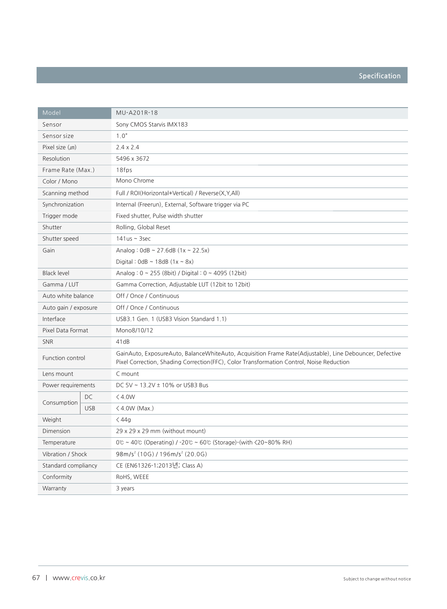| Model                |            | MU-A201R-18                                                                                                                                                                                         |
|----------------------|------------|-----------------------------------------------------------------------------------------------------------------------------------------------------------------------------------------------------|
| Sensor               |            | Sony CMOS Starvis IMX183                                                                                                                                                                            |
| Sensor size          |            | 1.0"                                                                                                                                                                                                |
| Pixel size $(\mu m)$ |            | $2.4 \times 2.4$                                                                                                                                                                                    |
| Resolution           |            | 5496 x 3672                                                                                                                                                                                         |
| Frame Rate (Max.)    |            | 18fps                                                                                                                                                                                               |
| Color / Mono         |            | Mono Chrome                                                                                                                                                                                         |
| Scanning method      |            | Full / ROI(Horizontal+Vertical) / Reverse(X,Y,All)                                                                                                                                                  |
| Synchronization      |            | Internal (Freerun), External, Software trigger via PC                                                                                                                                               |
| Trigger mode         |            | Fixed shutter, Pulse width shutter                                                                                                                                                                  |
| Shutter              |            | Rolling, Global Reset                                                                                                                                                                               |
| Shutter speed        |            | $141us - 3sec$                                                                                                                                                                                      |
| Gain                 |            | Analog: $0 dB \sim 27.6dB (1x \sim 22.5x)$                                                                                                                                                          |
|                      |            | Digital: $0dB \sim 18dB (1x - 8x)$                                                                                                                                                                  |
| <b>Black level</b>   |            | Analog: 0 ~ 255 (8bit) / Digital: 0 ~ 4095 (12bit)                                                                                                                                                  |
| Gamma / LUT          |            | Gamma Correction, Adjustable LUT (12bit to 12bit)                                                                                                                                                   |
| Auto white balance   |            | Off / Once / Continuous                                                                                                                                                                             |
| Auto gain / exposure |            | Off / Once / Continuous                                                                                                                                                                             |
| Interface            |            | USB3.1 Gen. 1 (USB3 Vision Standard 1.1)                                                                                                                                                            |
| Pixel Data Format    |            | Mono8/10/12                                                                                                                                                                                         |
| <b>SNR</b>           |            | 41dB                                                                                                                                                                                                |
| Function control     |            | GainAuto, ExposureAuto, BalanceWhiteAuto, Acquisition Frame Rate(Adjustable), Line Debouncer, Defective<br>Pixel Correction, Shading Correction(FFC), Color Transformation Control, Noise Reduction |
| Lens mount           |            | C mount                                                                                                                                                                                             |
| Power requirements   |            | DC 5V ~ 13.2V ± 10% or USB3 Bus                                                                                                                                                                     |
|                      | DC         | < 4.0W                                                                                                                                                                                              |
| Consumption          | <b>USB</b> | $\langle$ 4.0W (Max.)                                                                                                                                                                               |
| Weight               |            | $\langle 44g$                                                                                                                                                                                       |
| Dimension            |            | 29 x 29 x 29 mm (without mount)                                                                                                                                                                     |
| Temperature          |            | $0^\circ$ ~ 40 $^\circ$ (Operating) / -20 $^\circ$ ~ 60 $^\circ$ (Storage)-(with $\langle 20 \sim 80\%$ RH)                                                                                         |
| Vibration / Shock    |            | $98m/s2$ (10G) / 196m/s <sup>2</sup> (20.0G)                                                                                                                                                        |
| Standard compliancy  |            | CE (EN61326-1;2013년; Class A)                                                                                                                                                                       |
| Conformity           |            | RoHS, WEEE                                                                                                                                                                                          |
| Warranty             |            | 3 years                                                                                                                                                                                             |